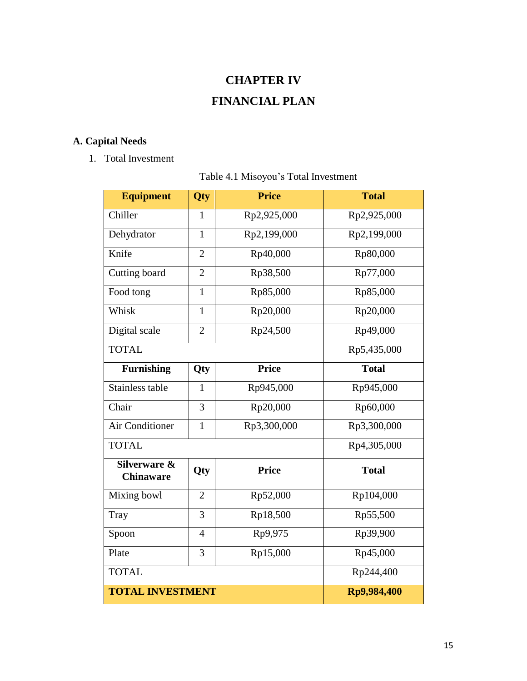# **CHAPTER IV FINANCIAL PLAN**

## **A. Capital Needs**

1. Total Investment

|  | Table 4.1 Misoyou's Total Investment |
|--|--------------------------------------|
|  |                                      |

| <b>Equipment</b>                 | <b>Qty</b>     | <b>Price</b> | <b>Total</b> |
|----------------------------------|----------------|--------------|--------------|
| Chiller                          | 1              | Rp2,925,000  | Rp2,925,000  |
| Dehydrator                       | $\mathbf{1}$   | Rp2,199,000  | Rp2,199,000  |
| Knife                            | $\overline{2}$ | Rp40,000     | Rp80,000     |
| Cutting board                    | $\overline{2}$ | Rp38,500     | Rp77,000     |
| Food tong                        | $\mathbf{1}$   | Rp85,000     | Rp85,000     |
| Whisk                            | $\mathbf{1}$   | Rp20,000     | Rp20,000     |
| Digital scale                    | $\overline{2}$ | Rp24,500     | Rp49,000     |
| <b>TOTAL</b>                     |                |              | Rp5,435,000  |
| <b>Furnishing</b>                | Qty            | <b>Price</b> | <b>Total</b> |
| Stainless table                  | $\mathbf{1}$   | Rp945,000    | Rp945,000    |
| Chair                            | 3              | Rp20,000     | Rp60,000     |
| <b>Air Conditioner</b>           | $\mathbf{1}$   | Rp3,300,000  | Rp3,300,000  |
| <b>TOTAL</b>                     |                |              | Rp4,305,000  |
| Silverware &<br><b>Chinaware</b> | Qty            | <b>Price</b> | <b>Total</b> |
| Mixing bowl                      | $\overline{2}$ | Rp52,000     | Rp104,000    |
| <b>Tray</b>                      | 3              | Rp18,500     | Rp55,500     |
| Spoon                            | $\overline{4}$ | Rp9,975      | Rp39,900     |
| Plate                            | 3              | Rp15,000     | Rp45,000     |
| <b>TOTAL</b>                     |                |              | Rp244,400    |
| <b>TOTAL INVESTMENT</b>          |                |              | Rp9,984,400  |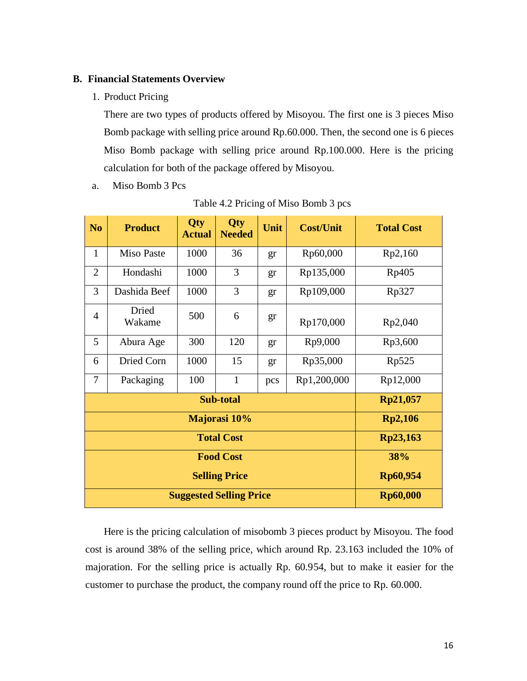#### **B. Financial Statements Overview**

1. Product Pricing

There are two types of products offered by Misoyou. The first one is 3 pieces Miso Bomb package with selling price around Rp.60.000. Then, the second one is 6 pieces Miso Bomb package with selling price around Rp.100.000. Here is the pricing calculation for both of the package offered by Misoyou.

a. Miso Bomb 3 Pcs

| N <sub>o</sub>                 | <b>Product</b>    | <b>Qty</b><br><b>Actual</b> | Qty<br><b>Needed</b> | Unit | <b>Cost/Unit</b> | <b>Total Cost</b> |
|--------------------------------|-------------------|-----------------------------|----------------------|------|------------------|-------------------|
| $\mathbf{1}$                   | <b>Miso Paste</b> | 1000                        | 36                   | gr   | Rp60,000         | Rp2,160           |
| $\overline{2}$                 | Hondashi          | 1000                        | 3                    | gr   | Rp135,000        | Rp405             |
| 3                              | Dashida Beef      | 1000                        | 3                    | gr   | Rp109,000        | Rp327             |
| $\overline{4}$                 | Dried<br>Wakame   | 500                         | 6                    | gr   | Rp170,000        | Rp2,040           |
| 5                              | Abura Age         | 300                         | 120                  | gr   | Rp9,000          | Rp3,600           |
| 6                              | Dried Corn        | 1000                        | 15                   | gr   | Rp35,000         | Rp525             |
| $\tau$                         | Packaging         | 100                         | $\mathbf{1}$         | pcs  | Rp1,200,000      | Rp12,000          |
| Sub-total                      |                   |                             |                      |      |                  | Rp21,057          |
|                                |                   |                             | Majorasi 10%         |      |                  | Rp2,106           |
| <b>Total Cost</b>              |                   |                             |                      |      |                  | Rp23,163          |
| <b>Food Cost</b>               |                   |                             |                      |      |                  | 38%               |
| <b>Selling Price</b>           |                   |                             |                      |      |                  | Rp60,954          |
| <b>Suggested Selling Price</b> |                   |                             |                      |      | <b>Rp60,000</b>  |                   |

Table 4.2 Pricing of Miso Bomb 3 pcs

Here is the pricing calculation of misobomb 3 pieces product by Misoyou. The food cost is around 38% of the selling price, which around Rp. 23.163 included the 10% of majoration. For the selling price is actually Rp. 60.954, but to make it easier for the customer to purchase the product, the company round off the price to Rp. 60.000.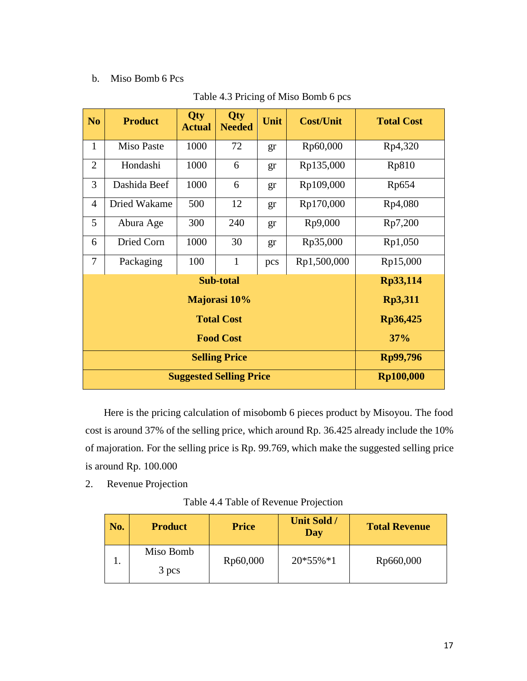### b. Miso Bomb 6 Pcs

| N <sub>o</sub>                 | <b>Product</b>    | <b>Qty</b><br><b>Actual</b> | <b>Qty</b><br><b>Needed</b> | Unit | <b>Cost/Unit</b> | <b>Total Cost</b> |
|--------------------------------|-------------------|-----------------------------|-----------------------------|------|------------------|-------------------|
| $\mathbf{1}$                   | <b>Miso Paste</b> | 1000                        | 72                          | gr   | Rp60,000         | Rp4,320           |
| $\overline{2}$                 | Hondashi          | 1000                        | 6                           | gr   | Rp135,000        | Rp810             |
| 3                              | Dashida Beef      | 1000                        | 6                           | gr   | Rp109,000        | Rp654             |
| $\overline{4}$                 | Dried Wakame      | 500                         | 12                          | gr   | Rp170,000        | Rp4,080           |
| 5                              | Abura Age         | 300                         | 240                         | gr   | Rp9,000          | Rp7,200           |
| 6                              | Dried Corn        | 1000                        | 30                          | gr   | Rp35,000         | Rp1,050           |
| $\tau$                         | Packaging         | 100                         | $\mathbf{1}$                | pcs  | Rp1,500,000      | Rp15,000          |
| Sub-total                      |                   |                             |                             |      |                  | Rp33,114          |
|                                |                   |                             | Majorasi 10%                |      |                  | Rp3,311           |
| <b>Total Cost</b>              |                   |                             |                             |      |                  | Rp36,425          |
|                                |                   | 37%                         |                             |      |                  |                   |
| <b>Selling Price</b>           |                   |                             |                             |      |                  | Rp99,796          |
| <b>Suggested Selling Price</b> |                   |                             |                             |      |                  | Rp100,000         |

Table 4.3 Pricing of Miso Bomb 6 pcs

Here is the pricing calculation of misobomb 6 pieces product by Misoyou. The food cost is around 37% of the selling price, which around Rp. 36.425 already include the 10% of majoration. For the selling price is Rp. 99.769, which make the suggested selling price is around Rp. 100.000

2. Revenue Projection

| Table 4.4 Table of Revenue Projection |  |
|---------------------------------------|--|
|---------------------------------------|--|

| No. | <b>Product</b>     | <b>Price</b> | <b>Unit Sold /</b><br>Day | <b>Total Revenue</b> |
|-----|--------------------|--------------|---------------------------|----------------------|
|     | Miso Bomb<br>3 pcs | Rp60,000     | 20*55%*1                  | Rp660,000            |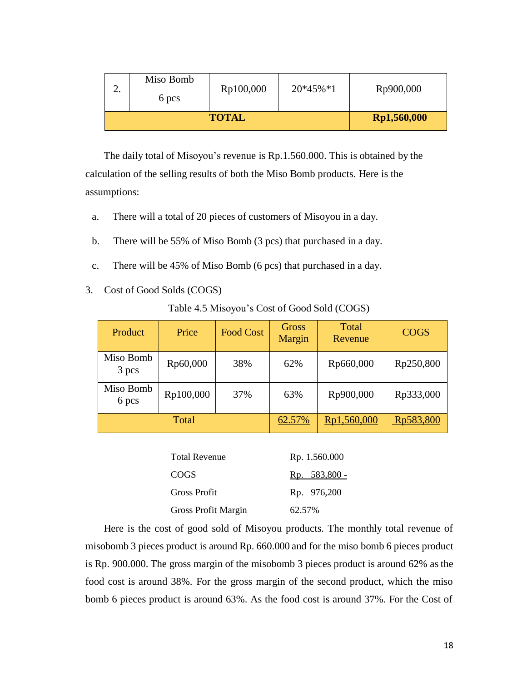|    | <b>TOTAL</b>       | Rp1,560,000 |             |           |
|----|--------------------|-------------|-------------|-----------|
| ـ. | Miso Bomb<br>6 pcs | Rp100,000   | $20*45\%*1$ | Rp900,000 |

The daily total of Misoyou's revenue is Rp.1.560.000. This is obtained by the calculation of the selling results of both the Miso Bomb products. Here is the assumptions:

- a. There will a total of 20 pieces of customers of Misoyou in a day.
- b. There will be 55% of Miso Bomb (3 pcs) that purchased in a day.
- c. There will be 45% of Miso Bomb (6 pcs) that purchased in a day.
- 3. Cost of Good Solds (COGS)

Table 4.5 Misoyou's Cost of Good Sold (COGS)

| Product            | Price     | <b>Food Cost</b> | Gross<br>Margin | Total<br>Revenue | <b>COGS</b> |
|--------------------|-----------|------------------|-----------------|------------------|-------------|
| Miso Bomb<br>3 pcs | Rp60,000  | 38%              | 62%             | Rp660,000        | Rp250,800   |
| Miso Bomb<br>6 pcs | Rp100,000 | 37%              | 63%             | Rp900,000        | Rp333,000   |
|                    | Total     |                  | 62.57%          | Rp1,560,000      | Rp583,800   |

| <b>Total Revenue</b>       | Rp. 1.560.000 |
|----------------------------|---------------|
| COGS                       | Rp. 583,800 - |
| Gross Profit               | Rp. 976,200   |
| <b>Gross Profit Margin</b> | 62.57%        |

Here is the cost of good sold of Misoyou products. The monthly total revenue of misobomb 3 pieces product is around Rp. 660.000 and for the miso bomb 6 pieces product is Rp. 900.000. The gross margin of the misobomb 3 pieces product is around 62% as the food cost is around 38%. For the gross margin of the second product, which the miso bomb 6 pieces product is around 63%. As the food cost is around 37%. For the Cost of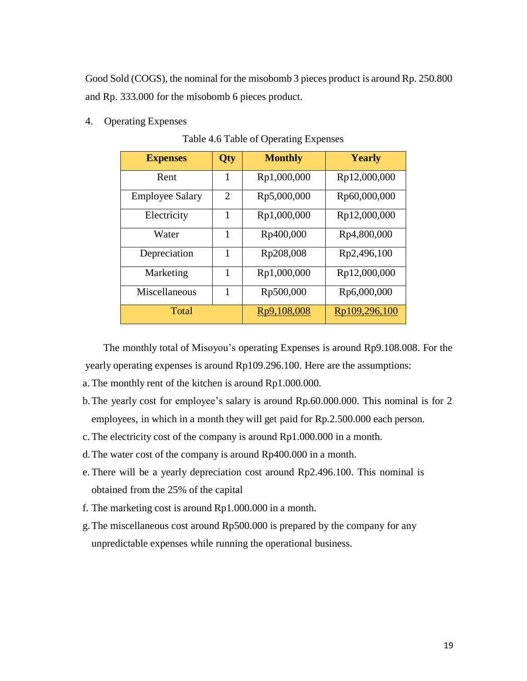Good Sold (COGS), the nominal for the misobomb 3 pieces product is around Rp. 250.800 and Rp. 333.000 for the misobomb 6 pieces product.

4. Operating Expenses

| <b>Expenses</b>        | Qty            | <b>Monthly</b> | <b>Yearly</b> |
|------------------------|----------------|----------------|---------------|
| Rent                   | 1              | Rp1,000,000    | Rp12,000,000  |
| <b>Employee Salary</b> | $\overline{2}$ | Rp5,000,000    | Rp60,000,000  |
| Electricity            | 1              | Rp1,000,000    | Rp12,000,000  |
| Water                  | 1              | Rp400,000      | Rp4,800,000   |
| Depreciation           | 1              | Rp208,008      | Rp2,496,100   |
| Marketing              | 1              | Rp1,000,000    | Rp12,000,000  |
| Miscellaneous          | 1              | Rp500,000      | Rp6,000,000   |
| Total                  |                | Rp9,108,008    | Rp109,296,100 |

Table 4.6 Table of Operating Expenses

The monthly total of Misoyou's operating Expenses is around Rp9.108.008. For the yearly operating expenses is around Rp109.296.100. Here are the assumptions:

- a. The monthly rent of the kitchen is around Rp1.000.000.
- b.The yearly cost for employee's salary is around Rp.60.000.000. This nominal is for 2 employees, in which in a month they will get paid for Rp.2.500.000 each person.
- c. The electricity cost of the company is around Rp1.000.000 in a month.
- d.The water cost of the company is around Rp400.000 in a month.
- e. There will be a yearly depreciation cost around Rp2.496.100. This nominal is obtained from the 25% of the capital
- f. The marketing cost is around Rp1.000.000 in a month.
- g.The miscellaneous cost around Rp500.000 is prepared by the company for any unpredictable expenses while running the operational business.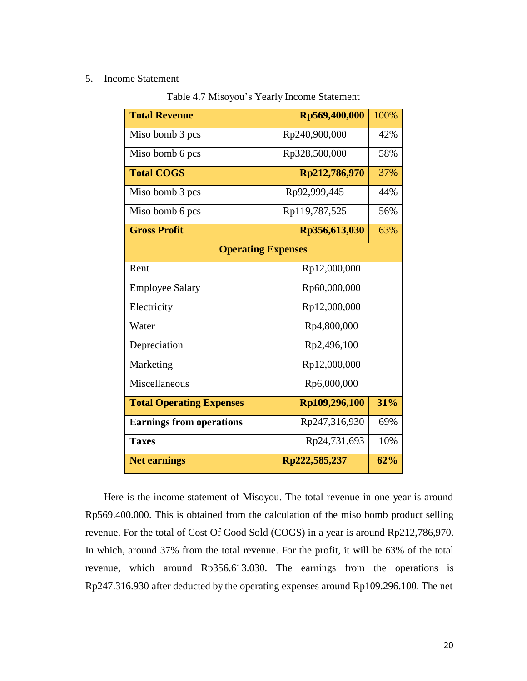#### 5. Income Statement

| <b>Total Revenue</b>            | Rp569,400,000             | 100% |  |
|---------------------------------|---------------------------|------|--|
| Miso bomb 3 pcs                 | Rp240,900,000             | 42%  |  |
| Miso bomb 6 pcs                 | Rp328,500,000             | 58%  |  |
| <b>Total COGS</b>               | Rp212,786,970             | 37%  |  |
| Miso bomb 3 pcs                 | Rp92,999,445              | 44%  |  |
| Miso bomb 6 pcs                 | Rp119,787,525<br>56%      |      |  |
| <b>Gross Profit</b>             | Rp356,613,030             | 63%  |  |
|                                 | <b>Operating Expenses</b> |      |  |
| Rent                            | Rp12,000,000              |      |  |
| <b>Employee Salary</b>          | Rp60,000,000              |      |  |
| Electricity                     | Rp12,000,000              |      |  |
| Water                           | Rp4,800,000               |      |  |
| Depreciation                    | Rp2,496,100               |      |  |
| Marketing                       | Rp12,000,000              |      |  |
| Miscellaneous                   | Rp6,000,000               |      |  |
| <b>Total Operating Expenses</b> | Rp109,296,100<br>31%      |      |  |
| <b>Earnings from operations</b> | Rp247,316,930             | 69%  |  |
| <b>Taxes</b>                    | Rp24,731,693<br>10%       |      |  |
| <b>Net earnings</b>             | Rp222,585,237             | 62%  |  |

Table 4.7 Misoyou's Yearly Income Statement

Here is the income statement of Misoyou. The total revenue in one year is around Rp569.400.000. This is obtained from the calculation of the miso bomb product selling revenue. For the total of Cost Of Good Sold (COGS) in a year is around Rp212,786,970. In which, around 37% from the total revenue. For the profit, it will be 63% of the total revenue, which around Rp356.613.030. The earnings from the operations is Rp247.316.930 after deducted by the operating expenses around Rp109.296.100. The net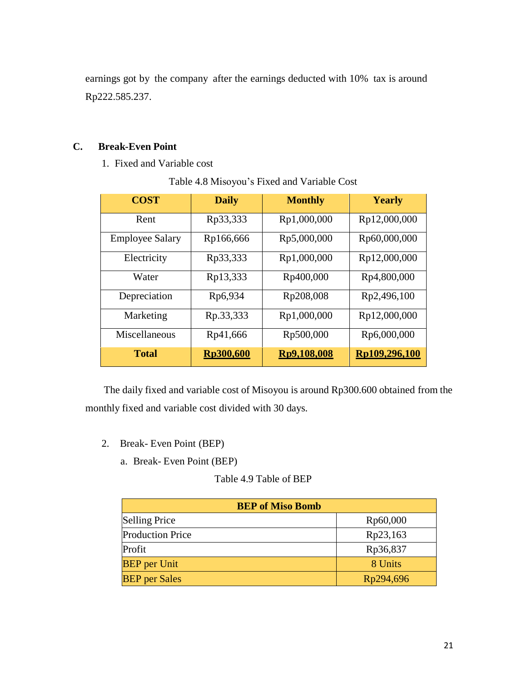earnings got by the company after the earnings deducted with 10% tax is around Rp222.585.237.

#### **C. Break-Even Point**

1. Fixed and Variable cost

| <b>COST</b>            | <b>Daily</b>     | <b>Monthly</b> | <b>Yearly</b> |
|------------------------|------------------|----------------|---------------|
| Rent                   | Rp33,333         | Rp1,000,000    | Rp12,000,000  |
| <b>Employee Salary</b> | Rp166,666        | Rp5,000,000    | Rp60,000,000  |
| Electricity            | Rp33,333         | Rp1,000,000    | Rp12,000,000  |
| Water                  | Rp13,333         | Rp400,000      | Rp4,800,000   |
| Depreciation           | Rp6,934          | Rp208,008      | Rp2,496,100   |
| Marketing              | Rp.33,333        | Rp1,000,000    | Rp12,000,000  |
| Miscellaneous          | Rp41,666         | Rp500,000      | Rp6,000,000   |
| <b>Total</b>           | <b>Rp300,600</b> | Rp9,108,008    | Rp109,296,100 |

Table 4.8 Misoyou's Fixed and Variable Cost

The daily fixed and variable cost of Misoyou is around Rp300.600 obtained from the monthly fixed and variable cost divided with 30 days.

- 2. Break- Even Point (BEP)
	- a. Break- Even Point (BEP)

Table 4.9 Table of BEP

| <b>BEP</b> of Miso Bomb |           |
|-------------------------|-----------|
| <b>Selling Price</b>    | Rp60,000  |
| <b>Production Price</b> | Rp23,163  |
| Profit                  | Rp36,837  |
| <b>BEP</b> per Unit     | 8 Units   |
| <b>BEP</b> per Sales    | Rp294,696 |